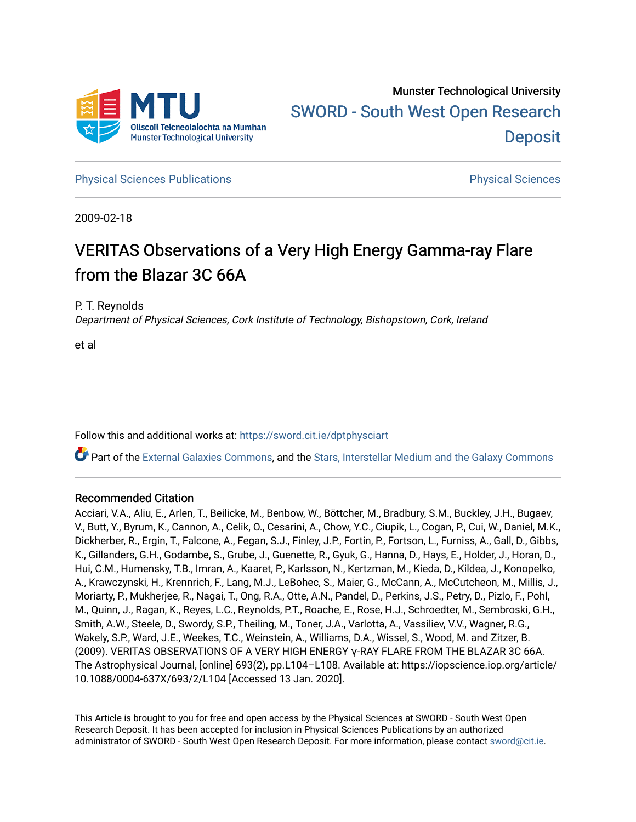

**[Physical Sciences Publications](https://sword.cit.ie/dptphysciart) Provide Access Publications Physical Sciences** Physical Sciences

2009-02-18

# VERITAS Observations of a Very High Energy Gamma-ray Flare from the Blazar 3C 66A

P. T. Reynolds

Department of Physical Sciences, Cork Institute of Technology, Bishopstown, Cork, Ireland

et al

Follow this and additional works at: [https://sword.cit.ie/dptphysciart](https://sword.cit.ie/dptphysciart?utm_source=sword.cit.ie%2Fdptphysciart%2F98&utm_medium=PDF&utm_campaign=PDFCoverPages)

Part of the [External Galaxies Commons](http://network.bepress.com/hgg/discipline/128?utm_source=sword.cit.ie%2Fdptphysciart%2F98&utm_medium=PDF&utm_campaign=PDFCoverPages), and the [Stars, Interstellar Medium and the Galaxy Commons](http://network.bepress.com/hgg/discipline/127?utm_source=sword.cit.ie%2Fdptphysciart%2F98&utm_medium=PDF&utm_campaign=PDFCoverPages) 

## Recommended Citation

Acciari, V.A., Aliu, E., Arlen, T., Beilicke, M., Benbow, W., Böttcher, M., Bradbury, S.M., Buckley, J.H., Bugaev, V., Butt, Y., Byrum, K., Cannon, A., Celik, O., Cesarini, A., Chow, Y.C., Ciupik, L., Cogan, P., Cui, W., Daniel, M.K., Dickherber, R., Ergin, T., Falcone, A., Fegan, S.J., Finley, J.P., Fortin, P., Fortson, L., Furniss, A., Gall, D., Gibbs, K., Gillanders, G.H., Godambe, S., Grube, J., Guenette, R., Gyuk, G., Hanna, D., Hays, E., Holder, J., Horan, D., Hui, C.M., Humensky, T.B., Imran, A., Kaaret, P., Karlsson, N., Kertzman, M., Kieda, D., Kildea, J., Konopelko, A., Krawczynski, H., Krennrich, F., Lang, M.J., LeBohec, S., Maier, G., McCann, A., McCutcheon, M., Millis, J., Moriarty, P., Mukherjee, R., Nagai, T., Ong, R.A., Otte, A.N., Pandel, D., Perkins, J.S., Petry, D., Pizlo, F., Pohl, M., Quinn, J., Ragan, K., Reyes, L.C., Reynolds, P.T., Roache, E., Rose, H.J., Schroedter, M., Sembroski, G.H., Smith, A.W., Steele, D., Swordy, S.P., Theiling, M., Toner, J.A., Varlotta, A., Vassiliev, V.V., Wagner, R.G., Wakely, S.P., Ward, J.E., Weekes, T.C., Weinstein, A., Williams, D.A., Wissel, S., Wood, M. and Zitzer, B. (2009). VERITAS OBSERVATIONS OF A VERY HIGH ENERGY γ-RAY FLARE FROM THE BLAZAR 3C 66A. The Astrophysical Journal, [online] 693(2), pp.L104–L108. Available at: https://iopscience.iop.org/article/ 10.1088/0004-637X/693/2/L104 [Accessed 13 Jan. 2020].

This Article is brought to you for free and open access by the Physical Sciences at SWORD - South West Open Research Deposit. It has been accepted for inclusion in Physical Sciences Publications by an authorized administrator of SWORD - South West Open Research Deposit. For more information, please contact [sword@cit.ie.](mailto:sword@cit.ie)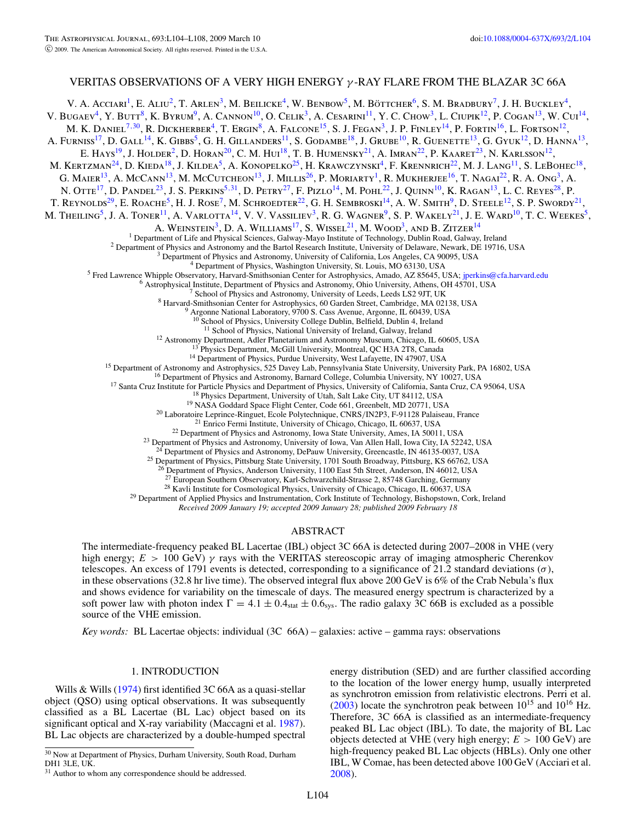## VERITAS OBSERVATIONS OF A VERY HIGH ENERGY *γ* -RAY FLARE FROM THE BLAZAR 3C 66A

V. A. Acciari<sup>1</sup>, E. Aliu<sup>2</sup>, T. Arlen<sup>3</sup>, M. Beilicke<sup>4</sup>, W. Benbow<sup>5</sup>, M. Böttcher<sup>6</sup>, S. M. Bradbury<sup>7</sup>, J. H. Buckley<sup>4</sup>, V. Bugaev<sup>4</sup>, Y. Butt<sup>8</sup>, K. Byrum<sup>9</sup>, A. Cannon<sup>10</sup>, O. Celik<sup>3</sup>, A. Cesarini<sup>11</sup>, Y. C. Chow<sup>3</sup>, L. Ciupik<sup>12</sup>, P. Cogan<sup>13</sup>, W. Cui<sup>14</sup>, M. K. DANIEL<sup>7,30</sup>, R. DICKHERBER<sup>4</sup>, T. ERGIN<sup>8</sup>, A. FALCONE<sup>15</sup>, S. J. FEGAN<sup>3</sup>, J. P. FINLEY<sup>14</sup>, P. FORTIN<sup>16</sup>, L. FORTSON<sup>12</sup>, A. Furniss<sup>17</sup>, D. Gall<sup>14</sup>, K. Gibbs<sup>5</sup>, G. H. Gillanders<sup>11</sup>, S. Godambe<sup>18</sup>, J. Grube<sup>10</sup>, R. Guenette<sup>13</sup>, G. Gyuk<sup>12</sup>, D. Hanna<sup>13</sup>, E. Hays<sup>19</sup>, J. Holder<sup>2</sup>, D. Horan<sup>20</sup>, C. M. Hui<sup>18</sup>, T. B. Humensky<sup>21</sup>, A. Imran<sup>22</sup>, P. Kaaret<sup>23</sup>, N. Karlsson<sup>12</sup>, M. KERTZMAN<sup>24</sup>, D. KIEDA<sup>18</sup>, J. KILDEA<sup>5</sup>, A. KONOPELKO<sup>25</sup>, H. KRAWCZYNSKI<sup>4</sup>, F. KRENNRICH<sup>22</sup>, M. J. LANG<sup>11</sup>, S. LEBOHEC<sup>18</sup>, G. MAIER<sup>13</sup>, A. McCann<sup>13</sup>, M. McCutcheon<sup>13</sup>, J. Millis<sup>26</sup>, P. Moriarty<sup>1</sup>, R. Mukherjee<sup>16</sup>, T. Nagai<sup>22</sup>, R. A. Ong<sup>3</sup>, A. N. OTTE<sup>17</sup>, D. PANDEL<sup>23</sup>, J. S. PERKINS<sup>5,31</sup>, D. PETRY<sup>27</sup>, F. PIZLO<sup>14</sup>, M. POHL<sup>22</sup>, J. QUINN<sup>10</sup>, K. RAGAN<sup>13</sup>, L. C. REYES<sup>28</sup>, P. T. REYNOLDS<sup>29</sup>, E. ROACHE<sup>5</sup>, H. J. ROSE<sup>7</sup>, M. SCHROEDTER<sup>22</sup>, G. H. SEMBROSKI<sup>14</sup>, A. W. SMITH<sup>9</sup>, D. STEELE<sup>12</sup>, S. P. SWORDY<sup>21</sup>, M. THEILING<sup>5</sup>, J. A. TONER<sup>11</sup>, A. VARLOTTA<sup>14</sup>, V. V. VASSILIEV<sup>3</sup>, R. G. WAGNER<sup>9</sup>, S. P. WAKELY<sup>21</sup>, J. E. WARD<sup>10</sup>, T. C. WEEKES<sup>5</sup>, A. WEINSTEIN<sup>3</sup>, D. A. WILLIAMS<sup>17</sup>, S. WISSEL<sup>21</sup>, M. WOOD<sup>3</sup>, AND B. ZITZER<sup>14</sup> <sup>1</sup> Department of Life and Physical Sciences, Galway-Mayo Institute of Technology, Dublin Road, Galway, Ireland<br><sup>2</sup> Department of Physics and Astronomy and the Bartol Research Institute, University of Delaware, Newark, DE School of Physics, University College Dublin, Belfield, Dublin 4, Ireland<sup>11</sup> School of Physics, National University of Ireland, Galway, Ireland <sup>12</sup> Astronomy Department, Adler Planetarium and Astronomy Museum, Chicago, IL 60605, USA<br><sup>13</sup> Physics Department, McGill University, Montreal, QC H3A 2T8, Canada<br><sup>13</sup> Physics Department of Physics, Purdue University, Wes <sup>25</sup> Department of Physics, Pittsburg State University, 1701 South Broadway, Pittsburg, KS 66762, USA <sup>27</sup> European Southern Observatory, Karl-Schwarzchild-Strasse 2, 85748 Garching, Germany<br><sup>27</sup> European Southern Observatory, Karl-Schwarzchild-Strasse 2, 85748 Garching, Germany <sup>28</sup> Kavli Institute for Cosmological Physics, University of Chicago, Chicago, IL 60637, USA<br><sup>29</sup> Department of Applied Physics and Instrumentation, Cork Institute of Technology, Bishopstown, Cork, Ireland

*Received 2009 January 19; accepted 2009 January 28; published 2009 February 18*

## ABSTRACT

The intermediate-frequency peaked BL Lacertae (IBL) object 3C 66A is detected during 2007–2008 in VHE (very high energy;  $E > 100$  GeV)  $\gamma$  rays with the VERITAS stereoscopic array of imaging atmospheric Cherenkov telescopes. An excess of 1791 events is detected, corresponding to a significance of 21.2 standard deviations (*σ*), in these observations (32.8 hr live time). The observed integral flux above 200 GeV is 6% of the Crab Nebula's flux and shows evidence for variability on the timescale of days. The measured energy spectrum is characterized by a soft power law with photon index  $\Gamma = 4.1 \pm 0.4$ <sub>stat</sub>  $\pm 0.6$ <sub>sys</sub>. The radio galaxy 3C 66B is excluded as a possible source of the VHE emission.

*Key words:* BL Lacertae objects: individual (3C 66A) – galaxies: active – gamma rays: observations

### 1. INTRODUCTION

Wills & Wills [\(1974\)](#page-5-0) first identified 3C 66A as a quasi-stellar object (QSO) using optical observations. It was subsequently classified as a BL Lacertae (BL Lac) object based on its significant optical and X-ray variability (Maccagni et al. [1987\)](#page-5-0). BL Lac objects are characterized by a double-humped spectral

energy distribution (SED) and are further classified according to the location of the lower energy hump, usually interpreted as synchrotron emission from relativistic electrons. Perri et al.  $(2003)$  locate the synchrotron peak between  $10^{15}$  and  $10^{16}$  Hz. Therefore, 3C 66A is classified as an intermediate-frequency peaked BL Lac object (IBL). To date, the majority of BL Lac objects detected at VHE (very high energy; *E >* 100 GeV) are high-frequency peaked BL Lac objects (HBLs). Only one other IBL, W Comae, has been detected above 100 GeV (Acciari et al. [2008\)](#page-5-0).

<sup>&</sup>lt;sup>30</sup> Now at Department of Physics, Durham University, South Road, Durham DH1 3LE, UK.

<sup>&</sup>lt;sup>31</sup> Author to whom any correspondence should be addressed.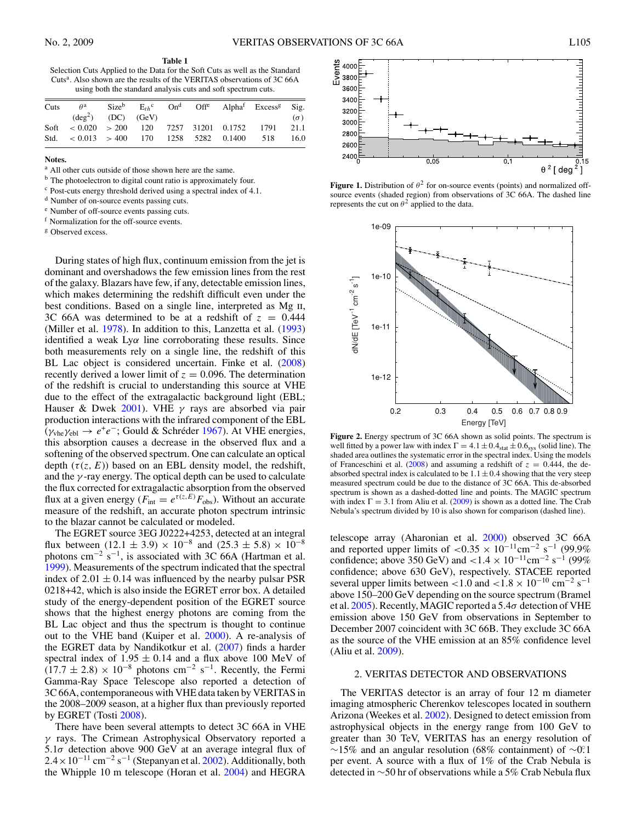<span id="page-2-0"></span>

**Table 1** Selection Cuts Applied to the Data for the Soft Cuts as well as the Standard Cuts<sup>a</sup>. Also shown are the results of the VERITAS observations of 3C 66A using both the standard analysis cuts and soft spectrum cuts.

| Cuts | $\theta^{\rm a}$                                           |                             |  |  | $Size^b$ $E_{th}^c$ $On^d$ $Off^e$ Alpha <sup>f</sup> Excess <sup>g</sup> Sig. |            |
|------|------------------------------------------------------------|-----------------------------|--|--|--------------------------------------------------------------------------------|------------|
|      |                                                            | $(\text{deg}^2)$ (DC) (GeV) |  |  |                                                                                | $(\sigma)$ |
|      | Soft $\lt$ 0.020 $\gt$ 200 120 7257 31201 0.1752 1791 21.1 |                             |  |  |                                                                                |            |
|      | Std. $\lt$ 0.013 $\gt$ 400 170 1258 5282 0.1400 518 16.0   |                             |  |  |                                                                                |            |

**Notes.**

<sup>a</sup> All other cuts outside of those shown here are the same.

<sup>b</sup> The photoelectron to digital count ratio is approximately four.

<sup>c</sup> Post-cuts energy threshold derived using a spectral index of 4.1.

<sup>d</sup> Number of on-source events passing cuts.

<sup>e</sup> Number of off-source events passing cuts.

<sup>f</sup> Normalization for the off-source events.

<sup>g</sup> Observed excess.

During states of high flux, continuum emission from the jet is dominant and overshadows the few emission lines from the rest of the galaxy. Blazars have few, if any, detectable emission lines, which makes determining the redshift difficult even under the best conditions. Based on a single line, interpreted as Mg ii, 3C 66A was determined to be at a redshift of  $z = 0.444$ (Miller et al. [1978\)](#page-5-0). In addition to this, Lanzetta et al. [\(1993\)](#page-5-0) identified a weak Ly*α* line corroborating these results. Since both measurements rely on a single line, the redshift of this BL Lac object is considered uncertain. Finke et al. [\(2008\)](#page-5-0) recently derived a lower limit of  $z = 0.096$ . The determination of the redshift is crucial to understanding this source at VHE due to the effect of the extragalactic background light (EBL; Hauser & Dwek [2001\)](#page-5-0). VHE *γ* rays are absorbed via pair production interactions with the infrared component of the EBL ( $\gamma$ <sub>vhe</sub> $\gamma$ <sub>ebl</sub> →  $e^+e^-$ ; Gould & Schréder [1967\)](#page-5-0). At VHE energies, this absorption causes a decrease in the observed flux and a softening of the observed spectrum. One can calculate an optical depth  $(\tau(z, E))$  based on an EBL density model, the redshift, and the  $\gamma$ -ray energy. The optical depth can be used to calculate the flux corrected for extragalactic absorption from the observed flux at a given energy ( $F_{\text{int}} = e^{\tau(z,E)} F_{\text{obs}}$ ). Without an accurate measure of the redshift, an accurate photon spectrum intrinsic to the blazar cannot be calculated or modeled.

The EGRET source 3EG J0222+4253, detected at an integral flux between  $(12.1 \pm 3.9) \times 10^{-8}$  and  $(25.3 \pm 5.8) \times 10^{-8}$ photons cm<sup>-2</sup> s<sup>-1</sup>, is associated with 3C 66A (Hartman et al. [1999\)](#page-5-0). Measurements of the spectrum indicated that the spectral index of  $2.01 \pm 0.14$  was influenced by the nearby pulsar PSR 0218+42, which is also inside the EGRET error box. A detailed study of the energy-dependent position of the EGRET source shows that the highest energy photons are coming from the BL Lac object and thus the spectrum is thought to continue out to the VHE band (Kuiper et al. [2000\)](#page-5-0). A re-analysis of the EGRET data by Nandikotkur et al. [\(2007\)](#page-5-0) finds a harder spectral index of  $1.95 \pm 0.14$  and a flux above 100 MeV of  $(17.7 \pm 2.8) \times 10^{-8}$  photons cm<sup>-2</sup> s<sup>-1</sup>. Recently, the Fermi Gamma-Ray Space Telescope also reported a detection of 3C 66A, contemporaneous with VHE data taken by VERITAS in the 2008–2009 season, at a higher flux than previously reported by EGRET (Tosti [2008\)](#page-5-0).

There have been several attempts to detect 3C 66A in VHE *γ* rays. The Crimean Astrophysical Observatory reported a 5.1*σ* detection above 900 GeV at an average integral flux of  $2.4 \times 10^{-11}$  cm<sup>-2</sup> s<sup>-1</sup> (Stepanyan et al. [2002\)](#page-5-0). Additionally, both the Whipple 10 m telescope (Horan et al. [2004\)](#page-5-0) and HEGRA



**Figure 1.** Distribution of  $\theta^2$  for on-source events (points) and normalized offsource events (shaded region) from observations of 3C 66A. The dashed line represents the cut on  $\theta^2$  applied to the data.



**Figure 2.** Energy spectrum of 3C 66A shown as solid points. The spectrum is well fitted by a power law with index  $Γ = 4.1 ± 0.4<sub>stat</sub> ± 0.6<sub>sys</sub>$  (solid line). The shaded area outlines the systematic error in the spectral index. Using the models of Franceschini et al. [\(2008\)](#page-5-0) and assuming a redshift of  $z = 0.444$ , the deabsorbed spectral index is calculated to be  $1.1 \pm 0.4$  showing that the very steep measured spectrum could be due to the distance of 3C 66A. This de-absorbed spectrum is shown as a dashed-dotted line and points. The MAGIC spectrum with index  $\Gamma = 3.1$  from Aliu et al. [\(2009\)](#page-5-0) is shown as a dotted line. The Crab Nebula's spectrum divided by 10 is also shown for comparison (dashed line).

telescope array (Aharonian et al. [2000\)](#page-5-0) observed 3C 66A and reported upper limits of  $\langle 0.35 \times 10^{-11} \text{cm}^{-2} \text{ s}^{-1} \rangle (99.9\%$ confidence; above 350 GeV) and *<sup>&</sup>lt;*1*.*<sup>4</sup> <sup>×</sup> <sup>10</sup>−11cm−<sup>2</sup> <sup>s</sup>−<sup>1</sup> (99% confidence; above 630 GeV), respectively. STACEE reported several upper limits between  $< 1.0$  and  $< 1.8 \times 10^{-10}$  cm<sup>-2</sup> s<sup>-1</sup> above 150–200 GeV depending on the source spectrum (Bramel et al. [2005\)](#page-5-0). Recently, MAGIC reported a 5*.*4*σ* detection of VHE emission above 150 GeV from observations in September to December 2007 coincident with 3C 66B. They exclude 3C 66A as the source of the VHE emission at an 85% confidence level (Aliu et al. [2009\)](#page-5-0).

#### 2. VERITAS DETECTOR AND OBSERVATIONS

The VERITAS detector is an array of four 12 m diameter imaging atmospheric Cherenkov telescopes located in southern Arizona (Weekes et al. [2002\)](#page-5-0). Designed to detect emission from astrophysical objects in the energy range from 100 GeV to greater than 30 TeV, VERITAS has an energy resolution of ∼15% and an angular resolution (68% containment) of ∼0*.* ◦1 per event. A source with a flux of 1% of the Crab Nebula is detected in ∼50 hr of observations while a 5% Crab Nebula flux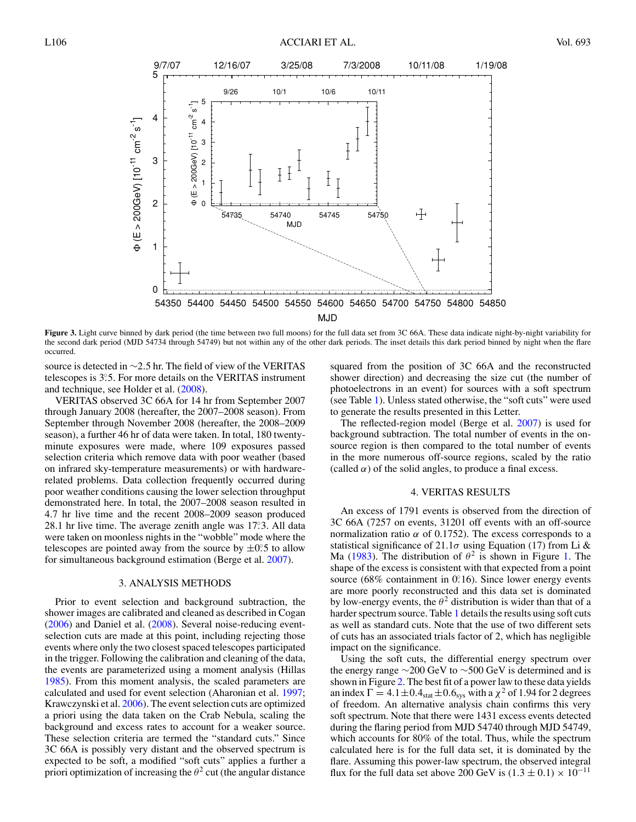<span id="page-3-0"></span>

Figure 3. Light curve binned by dark period (the time between two full moons) for the full data set from 3C 66A. These data indicate night-by-night variability for the second dark period (MJD 54734 through 54749) but not within any of the other dark periods. The inset details this dark period binned by night when the flare occurred.

source is detected in ∼2*.*5 hr. The field of view of the VERITAS telescopes is 3°.5. For more details on the VERITAS instrument and technique, see Holder et al. [\(2008\)](#page-5-0).

VERITAS observed 3C 66A for 14 hr from September 2007 through January 2008 (hereafter, the 2007–2008 season). From September through November 2008 (hereafter, the 2008–2009 season), a further 46 hr of data were taken. In total, 180 twentyminute exposures were made, where 109 exposures passed selection criteria which remove data with poor weather (based on infrared sky-temperature measurements) or with hardwarerelated problems. Data collection frequently occurred during poor weather conditions causing the lower selection throughput demonstrated here. In total, the 2007–2008 season resulted in 4.7 hr live time and the recent 2008–2009 season produced 28.1 hr live time. The average zenith angle was 17*.* ◦3. All data were taken on moonless nights in the "wobble" mode where the telescopes are pointed away from the source by  $\pm 0.5$  to allow for simultaneous background estimation (Berge et al. [2007\)](#page-5-0).

#### 3. ANALYSIS METHODS

Prior to event selection and background subtraction, the shower images are calibrated and cleaned as described in Cogan [\(2006\)](#page-5-0) and Daniel et al. [\(2008\)](#page-5-0). Several noise-reducing eventselection cuts are made at this point, including rejecting those events where only the two closest spaced telescopes participated in the trigger. Following the calibration and cleaning of the data, the events are parameterized using a moment analysis (Hillas [1985\)](#page-5-0). From this moment analysis, the scaled parameters are calculated and used for event selection (Aharonian et al. [1997;](#page-5-0) Krawczynski et al. [2006\)](#page-5-0). The event selection cuts are optimized a priori using the data taken on the Crab Nebula, scaling the background and excess rates to account for a weaker source. These selection criteria are termed the "standard cuts." Since 3C 66A is possibly very distant and the observed spectrum is expected to be soft, a modified "soft cuts" applies a further a priori optimization of increasing the  $\theta^2$  cut (the angular distance

squared from the position of 3C 66A and the reconstructed shower direction) and decreasing the size cut (the number of photoelectrons in an event) for sources with a soft spectrum (see Table [1\)](#page-2-0). Unless stated otherwise, the "soft cuts" were used to generate the results presented in this Letter.

The reflected-region model (Berge et al. [2007\)](#page-5-0) is used for background subtraction. The total number of events in the onsource region is then compared to the total number of events in the more numerous off-source regions, scaled by the ratio (called  $\alpha$ ) of the solid angles, to produce a final excess.

#### 4. VERITAS RESULTS

An excess of 1791 events is observed from the direction of 3C 66A (7257 on events, 31201 off events with an off-source normalization ratio  $\alpha$  of 0.1752). The excess corresponds to a statistical significance of 21.1 $\sigma$  using Equation (17) from Li & Ma [\(1983\)](#page-5-0). The distribution of  $\theta^2$  is shown in Figure [1.](#page-2-0) The shape of the excess is consistent with that expected from a point source (68% containment in 0.<sup>o</sup>.16). Since lower energy events are more poorly reconstructed and this data set is dominated by low-energy events, the  $\theta^2$  distribution is wider than that of a harder spectrum source. Table [1](#page-2-0) details the results using soft cuts as well as standard cuts. Note that the use of two different sets of cuts has an associated trials factor of 2, which has negligible impact on the significance.

Using the soft cuts, the differential energy spectrum over the energy range  $\sim$ 200 GeV to  $\sim$ 500 GeV is determined and is shown in Figure [2.](#page-2-0) The best fit of a power law to these data yields an index  $\Gamma = 4.1 \pm 0.4$ <sub>stat</sub>  $\pm 0.6$ <sub>sys</sub> with a  $\chi^2$  of 1.94 for 2 degrees of freedom. An alternative analysis chain confirms this very soft spectrum. Note that there were 1431 excess events detected during the flaring period from MJD 54740 through MJD 54749, which accounts for 80% of the total. Thus, while the spectrum calculated here is for the full data set, it is dominated by the flare. Assuming this power-law spectrum, the observed integral flux for the full data set above 200 GeV is  $(1.3 \pm 0.1) \times 10^{-11}$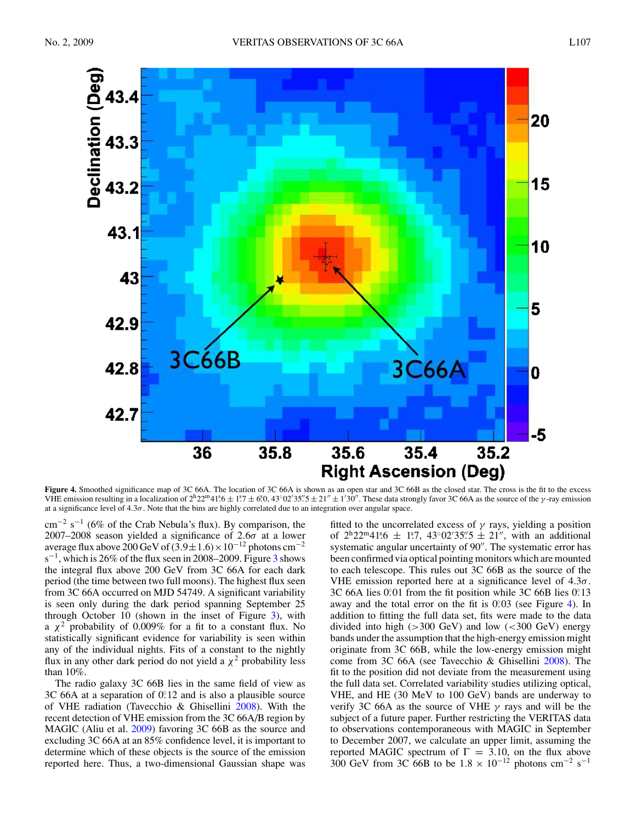

Figure 4. Smoothed significance map of 3C 66A. The location of 3C 66A is shown as an open star and 3C 66B as the closed star. The cross is the fit to the excess VHE emission resulting in a localization of  $2^{\text{h}}22^{\text{m}}41.5\pm1.7\pm6.0$ ,  $43^{\circ}02'35''.5\pm21''\pm1'30''$ . These data strongly favor 3C 66A as the source of the *γ*-ray emission at a significance level of 4*.*3*σ*. Note that the bins are highly correlated due to an integration over angular space.

cm<sup>-2</sup> s<sup>-1</sup> (6% of the Crab Nebula's flux). By comparison, the 2007–2008 season yielded a significance of 2*.*6*σ* at a lower average flux above 200 GeV of  $(3.9 \pm 1.6) \times 10^{-12}$  photons cm<sup>-2</sup>  $s^{-1}$ , which is 26% of the flux seen in 2008–2009. Figure [3](#page-3-0) shows the integral flux above 200 GeV from 3C 66A for each dark period (the time between two full moons). The highest flux seen from 3C 66A occurred on MJD 54749. A significant variability is seen only during the dark period spanning September 25 through October 10 (shown in the inset of Figure [3\)](#page-3-0), with a *χ*<sup>2</sup> probability of 0.009% for a fit to a constant flux. No statistically significant evidence for variability is seen within any of the individual nights. Fits of a constant to the nightly flux in any other dark period do not yield a  $\chi^2$  probability less than 10%.

The radio galaxy 3C 66B lies in the same field of view as 3C 66A at a separation of 0.<sup>o</sup>.12 and is also a plausible source of VHE radiation (Tavecchio & Ghisellini [2008\)](#page-5-0). With the recent detection of VHE emission from the 3C 66A/B region by MAGIC (Aliu et al. [2009\)](#page-5-0) favoring 3C 66B as the source and excluding 3C 66A at an 85% confidence level, it is important to determine which of these objects is the source of the emission reported here. Thus, a two-dimensional Gaussian shape was

fitted to the uncorrelated excess of  $\gamma$  rays, yielding a position of  $2^{h}22^{m}41^{s}6 \pm 1^{s}7$ ,  $43^{\circ}02'35''5 \pm 21''$ , with an additional systematic angular uncertainty of 90". The systematic error has been confirmed via optical pointing monitors which are mounted to each telescope. This rules out 3C 66B as the source of the VHE emission reported here at a significance level of 4*.*3*σ*. 3C 66A lies 0.01 from the fit position while 3C 66B lies 0.13 away and the total error on the fit is 0.03 (see Figure 4). In addition to fitting the full data set, fits were made to the data divided into high (*>*300 GeV) and low (*<*300 GeV) energy bands under the assumption that the high-energy emission might originate from 3C 66B, while the low-energy emission might come from 3C 66A (see Tavecchio & Ghisellini [2008\)](#page-5-0). The fit to the position did not deviate from the measurement using the full data set. Correlated variability studies utilizing optical, VHE, and HE (30 MeV to 100 GeV) bands are underway to verify 3C 66A as the source of VHE *γ* rays and will be the subject of a future paper. Further restricting the VERITAS data to observations contemporaneous with MAGIC in September to December 2007, we calculate an upper limit, assuming the reported MAGIC spectrum of  $\Gamma = 3.10$ , on the flux above 300 GeV from 3C 66B to be  $1.8 \times 10^{-12}$  photons cm<sup>-2</sup> s<sup>-1</sup>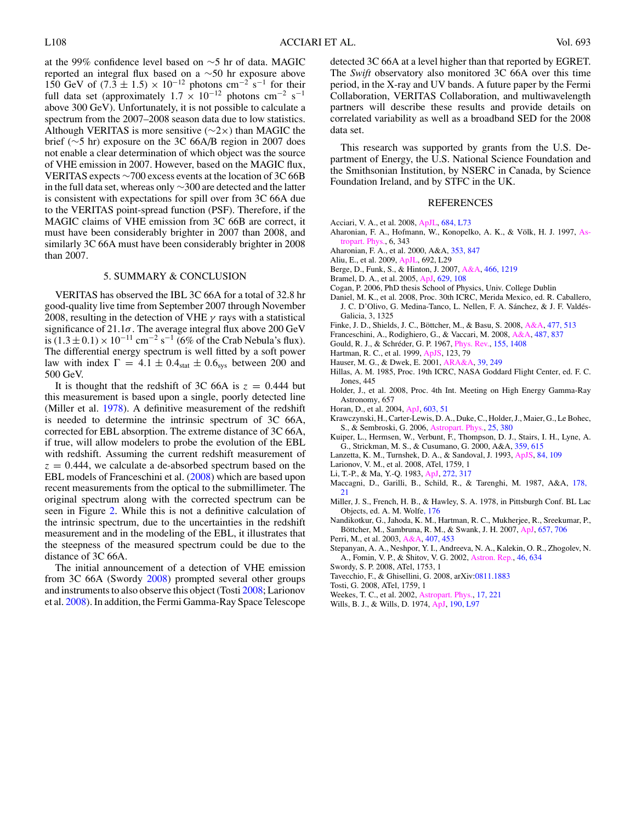<span id="page-5-0"></span>at the 99% confidence level based on ∼5 hr of data. MAGIC reported an integral flux based on a ∼50 hr exposure above 150 GeV of (7.3 ± 1.5) × 10<sup>-12</sup> photons cm<sup>-2</sup> s<sup>-1</sup> for their full data set (approximately  $1.7 \times 10^{-12}$  photons cm<sup>-2</sup> s<sup>-1</sup> above 300 GeV). Unfortunately, it is not possible to calculate a spectrum from the 2007–2008 season data due to low statistics. Although VERITAS is more sensitive ( $\sim$ 2×) than MAGIC the brief (∼5 hr) exposure on the 3C 66A/B region in 2007 does not enable a clear determination of which object was the source of VHE emission in 2007. However, based on the MAGIC flux, VERITAS expects ∼700 excess events at the location of 3C 66B in the full data set, whereas only ∼300 are detected and the latter is consistent with expectations for spill over from 3C 66A due to the VERITAS point-spread function (PSF). Therefore, if the MAGIC claims of VHE emission from 3C 66B are correct, it must have been considerably brighter in 2007 than 2008, and similarly 3C 66A must have been considerably brighter in 2008 than 2007.

#### 5. SUMMARY & CONCLUSION

VERITAS has observed the IBL 3C 66A for a total of 32.8 hr good-quality live time from September 2007 through November 2008, resulting in the detection of VHE *γ* rays with a statistical significance of 21.1*σ*. The average integral flux above 200 GeV is  $(1.3 \pm 0.1) \times 10^{-11}$  cm<sup>-2</sup> s<sup>-1</sup> (6% of the Crab Nebula's flux). The differential energy spectrum is well fitted by a soft power law with index  $\Gamma = 4.1 \pm 0.4$ <sub>stat</sub>  $\pm 0.6$ <sub>sys</sub> between 200 and 500 GeV.

It is thought that the redshift of 3C 66A is  $z = 0.444$  but this measurement is based upon a single, poorly detected line (Miller et al. 1978). A definitive measurement of the redshift is needed to determine the intrinsic spectrum of 3C 66A, corrected for EBL absorption. The extreme distance of 3C 66A, if true, will allow modelers to probe the evolution of the EBL with redshift. Assuming the current redshift measurement of  $z = 0.444$ , we calculate a de-absorbed spectrum based on the EBL models of Franceschini et al. (2008) which are based upon recent measurements from the optical to the submillimeter. The original spectrum along with the corrected spectrum can be seen in Figure [2.](#page-2-0) While this is not a definitive calculation of the intrinsic spectrum, due to the uncertainties in the redshift measurement and in the modeling of the EBL, it illustrates that the steepness of the measured spectrum could be due to the distance of 3C 66A.

The initial announcement of a detection of VHE emission from 3C 66A (Swordy 2008) prompted several other groups and instruments to also observe this object (Tosti 2008; Larionov et al. 2008). In addition, the Fermi Gamma-Ray Space Telescope

detected 3C 66A at a level higher than that reported by EGRET. The *Swift* observatory also monitored 3C 66A over this time period, in the X-ray and UV bands. A future paper by the Fermi Collaboration, VERITAS Collaboration, and multiwavelength partners will describe these results and provide details on correlated variability as well as a broadband SED for the 2008 data set.

This research was supported by grants from the U.S. Department of Energy, the U.S. National Science Foundation and the Smithsonian Institution, by NSERC in Canada, by Science Foundation Ireland, and by STFC in the UK.

#### REFERENCES

- Acciari, V. A., et al. 2008, [ApJL,](http://dx.doi.org/10.1086/592244) [684, L73](http://adsabs.harvard.edu/cgi-bin/bib_query?2008ApJ...684L..73A)
- Aharonian, F. A., Hofmann, W., Konopelko, A. K., & Völk, H. J. 1997, [As](http://dx.doi.org/10.1016/S0927-6505(96)00069-2)[tropart. Phys.](http://dx.doi.org/10.1016/S0927-6505(96)00069-2), 6, 343
- Aharonian, F. A., et al. 2000, A&A, [353, 847](http://adsabs.harvard.edu/cgi-bin/bib_query?2000A&A...353..847A)
- Aliu, E., et al. 2009, [ApJL,](http://dx.doi.org/10.1088/0004-637X/692/1/L29) 692, L29
- Berge, D., Funk, S., & Hinton, J. 2007, [A&A,](http://dx.doi.org/10.1051/0004-6361:20066674) [466, 1219](http://adsabs.harvard.edu/cgi-bin/bib_query?2007A&A...466.1219B)
- Bramel, D. A., et al. 2005, [ApJ,](http://dx.doi.org/10.1086/431294) [629, 108](http://adsabs.harvard.edu/cgi-bin/bib_query?2005ApJ...629..108B)
- Cogan, P. 2006, PhD thesis School of Physics, Univ. College Dublin
- Daniel, M. K., et al. 2008, Proc. 30th ICRC, Merida Mexico, ed. R. Caballero, J. C. D'Olivo, G. Medina-Tanco, L. Nellen, F. A. Sánchez, & J. F. Valdés-Galicia, 3, 1325
- Finke, J. D., Shields, J. C., Böttcher, M., & Basu, S. 2008, [A&A,](http://dx.doi.org/10.1051/0004-6361:20078492) [477, 513](http://adsabs.harvard.edu/cgi-bin/bib_query?2008A&A...477..513F)
- Franceschini, A., Rodighiero, G., & Vaccari, M. 2008, [A&A,](http://dx.doi.org/10.1051/0004-6361:200809691) [487, 837](http://adsabs.harvard.edu/cgi-bin/bib_query?2008A&A...487..837F)
- Gould, R. J., & Schréder, G. P. 1967, *Phys. Rev.*, [155, 1408](http://adsabs.harvard.edu/cgi-bin/bib_query?1967PhRv..155.1408G)
- Hartman, R. C., et al. 1999, [ApJS,](http://dx.doi.org/10.1086/313231) 123, 79
- Hauser, M. G., & Dwek, E. 2001, [ARA&A,](http://dx.doi.org/10.1146/annurev.astro.39.1.249) [39, 249](http://adsabs.harvard.edu/cgi-bin/bib_query?2001ARA&A..39..249H)
- Hillas, A. M. 1985, Proc. 19th ICRC, NASA Goddard Flight Center, ed. F. C. Jones, 445
- Holder, J., et al. 2008, Proc. 4th Int. Meeting on High Energy Gamma-Ray Astronomy, 657
- Horan, D., et al. 2004, [ApJ,](http://dx.doi.org/10.1086/381430) [603, 51](http://adsabs.harvard.edu/cgi-bin/bib_query?2004ApJ...603...51H)
- Krawczynski, H., Carter-Lewis, D. A., Duke, C., Holder, J., Maier, G., Le Bohec, S., & Sembroski, G. 2006, [Astropart. Phys.,](http://dx.doi.org/10.1016/j.astropartphys.2006.03.011) [25, 380](http://adsabs.harvard.edu/cgi-bin/bib_query?2006APh....25..380K)
- Kuiper, L., Hermsen, W., Verbunt, F., Thompson, D. J., Stairs, I. H., Lyne, A. G., Strickman, M. S., & Cusumano, G. 2000, A&A, [359, 615](http://adsabs.harvard.edu/cgi-bin/bib_query?2000A&A...359..615K)
- Lanzetta, K. M., Turnshek, D. A., & Sandoval, J. 1993, [ApJS,](http://dx.doi.org/10.1086/191749) [84, 109](http://adsabs.harvard.edu/cgi-bin/bib_query?1993ApJS...84..109L)
- Larionov, V. M., et al. 2008, ATel, 1759, 1
- Li, T.-P., & Ma, Y.-Q. 1983, [ApJ,](http://dx.doi.org/10.1086/161295) [272, 317](http://adsabs.harvard.edu/cgi-bin/bib_query?1983ApJ...272..317L)
- Maccagni, D., Garilli, B., Schild, R., & Tarenghi, M. 1987, A&A, [178,](http://adsabs.harvard.edu/cgi-bin/bib_query?1987A&A...178...21M) [21](http://adsabs.harvard.edu/cgi-bin/bib_query?1987A&A...178...21M)
- Miller, J. S., French, H. B., & Hawley, S. A. 1978, in Pittsburgh Conf. BL Lac Objects, ed. A. M. Wolf[e, 176](http://adsabs.harvard.edu/cgi-bin/bib_query?1978bllo.conf..176M)
- Nandikotkur, G., Jahoda, K. M., Hartman, R. C., Mukherjee, R., Sreekumar, P., Böttcher, M., Sambruna, R. M., & Swank, J. H. 2007, [ApJ,](http://dx.doi.org/10.1086/510795) [657, 706](http://adsabs.harvard.edu/cgi-bin/bib_query?2007ApJ...657..706N) Perri, M., et al. 2003, [A&A,](http://dx.doi.org/10.1051/0004-6361:20030915) [407, 453](http://adsabs.harvard.edu/cgi-bin/bib_query?2003A&A...407..453P)
- Stepanyan, A. A., Neshpor, Y. I., Andreeva, N. A., Kalekin, O. R., Zhogolev, N. A., Fomin, V. P., & Shitov, V. G. 2002, [Astron. Rep.,](http://dx.doi.org/10.1134/1.1502223) [46, 634](http://adsabs.harvard.edu/cgi-bin/bib_query?2002ARep...46..634S)
- Swordy, S. P. 2008, ATel, 1753, 1
- Tavecchio, F., & Ghisellini, G. 2008, arXiv[:0811.1883](http://www.arxiv.org/abs/0811.1883)
- Tosti, G. 2008, ATel, 1759, 1
- Weekes, T. C., et al. 2002, [Astropart. Phys.,](http://dx.doi.org/10.1016/S0927-6505(01)00152-9) [17, 221](http://adsabs.harvard.edu/cgi-bin/bib_query?2002APh....17..221W)
- Wills, B. J., & Wills, D. 1974, [ApJ,](http://dx.doi.org/10.1086/181514) [190, L97](http://adsabs.harvard.edu/cgi-bin/bib_query?1974ApJ...190L..97W)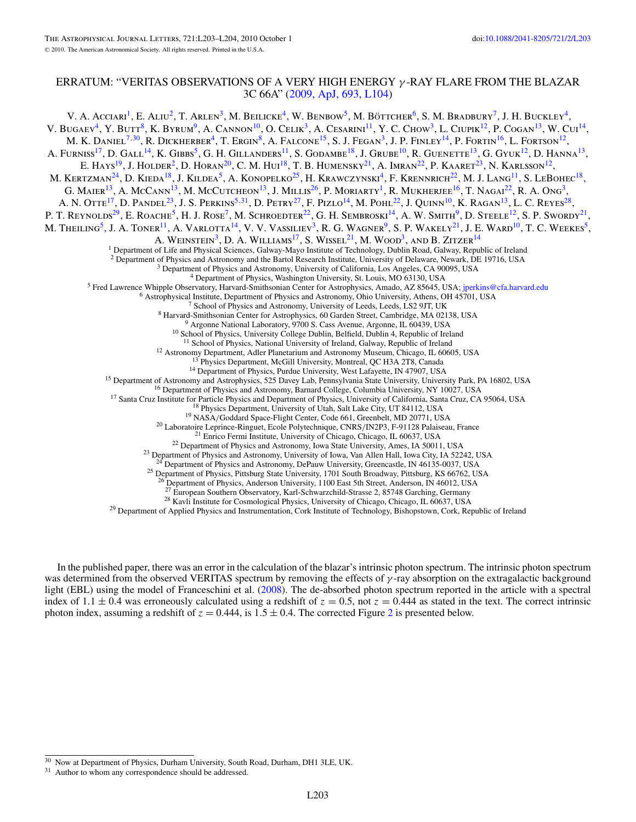## ERRATUM: "VERITAS OBSERVATIONS OF A VERY HIGH ENERGY *γ* -RAY FLARE FROM THE BLAZAR 3C 66A" [\(2009, ApJ, 693, L104\)](http://dx.doi.org/10.1088/0004-637X/693/2/L104)

In the published paper, there was an error in the calculation of the blazar's intrinsic photon spectrum. The intrinsic photon spectrum was determined from the observed VERITAS spectrum by removing the effects of *γ*-ray absorption on the extragalactic background light (EBL) using the model of Franceschini et al. [\(2008\)](#page-7-0). The de-absorbed photon spectrum reported in the article with a spectral index of  $1.1 \pm 0.4$  was erroneously calculated using a redshift of  $z = 0.5$ , not  $z = 0.444$  as stated in the text. The correct intrinsic photon index, assuming a redshift of  $z = 0.444$ , is  $1.5 \pm 0.4$ . The corrected Figure [2](#page-7-0) is presented below.

<sup>30</sup> Now at Department of Physics, Durham University, South Road, Durham, DH1 3LE, UK.

<sup>&</sup>lt;sup>31</sup> Author to whom any correspondence should be addressed.